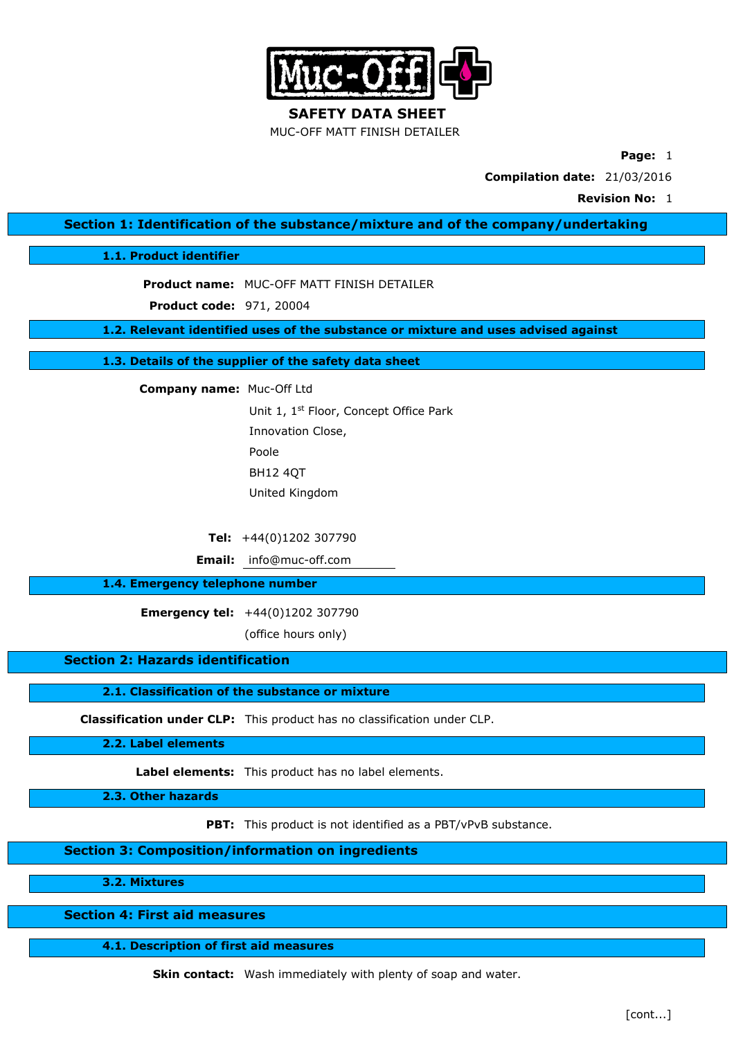

**SAFETY DATA SHEET** MUC-OFF MATT FINISH DETAILER

**Page:** 1

**Compilation date:** 21/03/2016

**Revision No:** 1

**Section 1: Identification of the substance/mixture and of the company/undertaking**

**1.1. Product identifier**

**Product name:** MUC-OFF MATT FINISH DETAILER

**Product code:** 971, 20004

**1.2. Relevant identified uses of the substance or mixture and uses advised against**

**1.3. Details of the supplier of the safety data sheet**

**Company name:** Muc-Off Ltd

Unit 1, 1st Floor, Concept Office Park Innovation Close, Poole BH12 4QT United Kingdom

**Tel:** +44(0)1202 307790

**Email:** info@muc-off.com

### **1.4. Emergency telephone number**

**Emergency tel:** +44(0)1202 307790

(office hours only)

**Section 2: Hazards identification**

**2.1. Classification of the substance or mixture**

**Classification under CLP:** This product has no classification under CLP.

**2.2. Label elements**

**Label elements:** This product has no label elements.

**2.3. Other hazards**

**PBT:** This product is not identified as a PBT/vPvB substance.

**Section 3: Composition/information on ingredients**

**3.2. Mixtures**

**Section 4: First aid measures**

**4.1. Description of first aid measures**

**Skin contact:** Wash immediately with plenty of soap and water.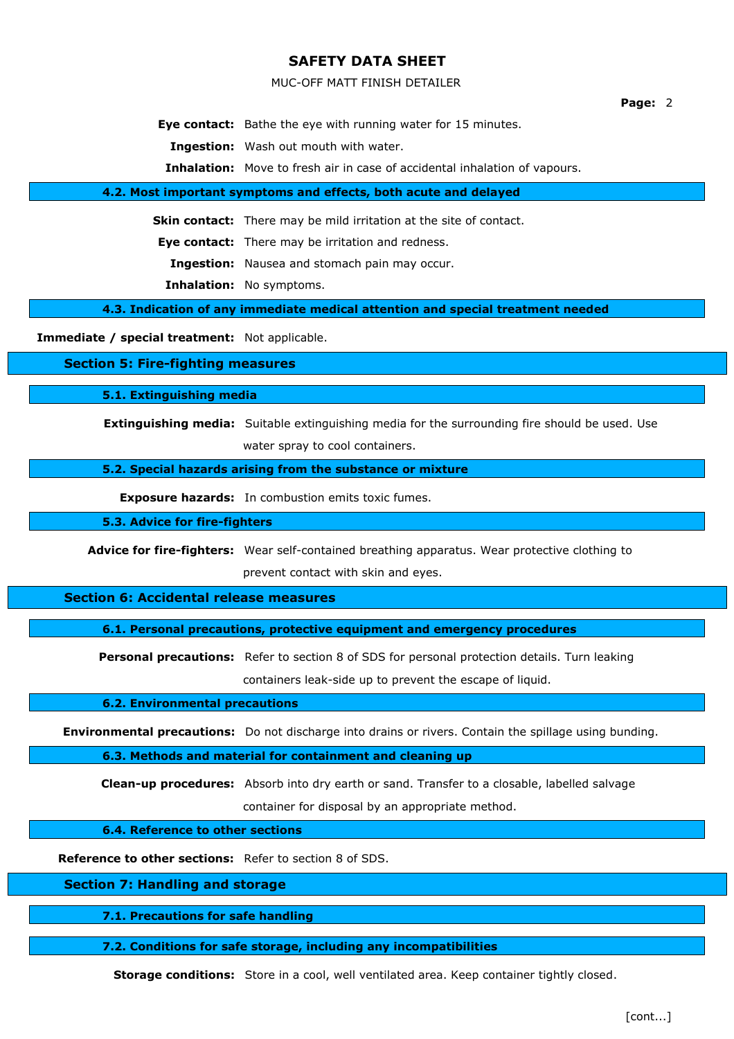MUC-OFF MATT FINISH DETAILER

#### **Page:** 2

**Eye contact:** Bathe the eye with running water for 15 minutes.

**Ingestion:** Wash out mouth with water.

**Inhalation:** Move to fresh air in case of accidental inhalation of vapours.

#### **4.2. Most important symptoms and effects, both acute and delayed**

**Skin contact:** There may be mild irritation at the site of contact.

**Eye contact:** There may be irritation and redness.

**Ingestion:** Nausea and stomach pain may occur.

**Inhalation:** No symptoms.

**4.3. Indication of any immediate medical attention and special treatment needed**

**Immediate / special treatment:** Not applicable.

**Section 5: Fire-fighting measures**

**5.1. Extinguishing media**

**Extinguishing media:** Suitable extinguishing media for the surrounding fire should be used. Use water spray to cool containers.

**5.2. Special hazards arising from the substance or mixture**

**Exposure hazards:** In combustion emits toxic fumes.

**5.3. Advice for fire-fighters**

**Advice for fire-fighters:** Wear self-contained breathing apparatus. Wear protective clothing to

prevent contact with skin and eyes.

**Section 6: Accidental release measures**

**6.1. Personal precautions, protective equipment and emergency procedures**

**Personal precautions:** Refer to section 8 of SDS for personal protection details. Turn leaking containers leak-side up to prevent the escape of liquid.

**6.2. Environmental precautions**

**Environmental precautions:** Do not discharge into drains or rivers. Contain the spillage using bunding.

**6.3. Methods and material for containment and cleaning up**

**Clean-up procedures:** Absorb into dry earth or sand. Transfer to a closable, labelled salvage container for disposal by an appropriate method.

**6.4. Reference to other sections**

**Reference to other sections:** Refer to section 8 of SDS.

**Section 7: Handling and storage**

**7.1. Precautions for safe handling**

**7.2. Conditions for safe storage, including any incompatibilities**

**Storage conditions:** Store in a cool, well ventilated area. Keep container tightly closed.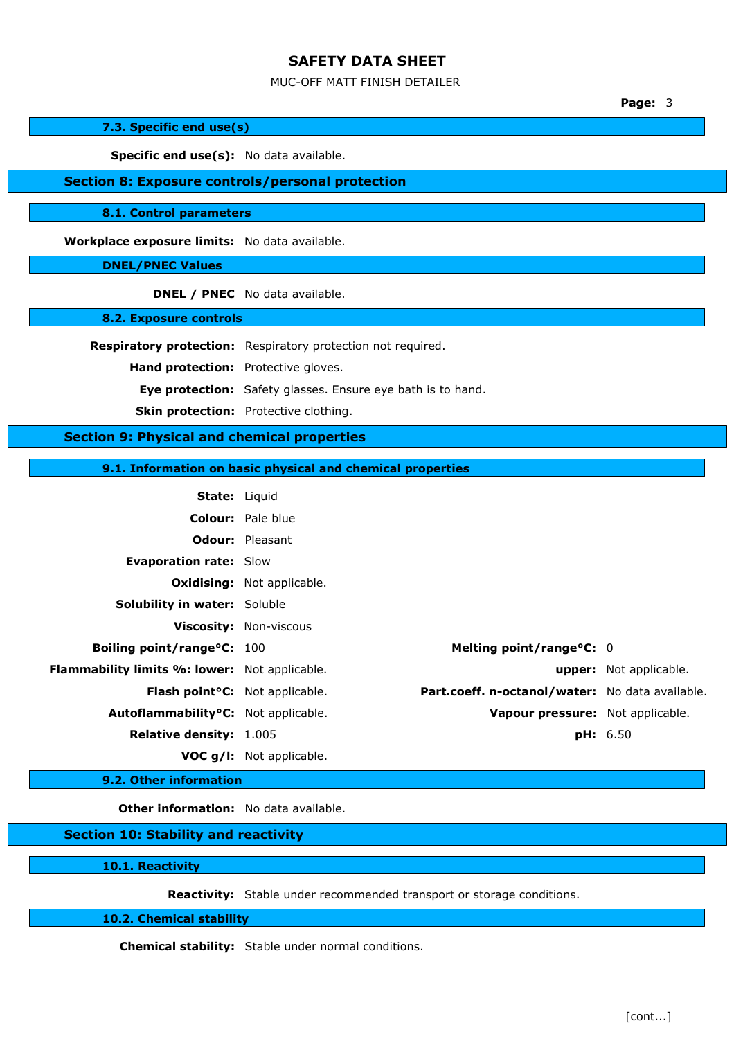#### MUC-OFF MATT FINISH DETAILER

**Page:** 3

### **7.3. Specific end use(s)**

Specific end use(s): No data available.

## **Section 8: Exposure controls/personal protection**

**8.1. Control parameters**

**Workplace exposure limits:** No data available.

### **DNEL/PNEC Values**

**DNEL / PNEC** No data available.

### **8.2. Exposure controls**

**Respiratory protection:** Respiratory protection not required.

**Hand protection:** Protective gloves.

**Eye protection:** Safety glasses. Ensure eye bath is to hand.

**Skin protection:** Protective clothing.

## **Section 9: Physical and chemical properties**

**9.1. Information on basic physical and chemical properties**

| <b>State: Liquid</b>                                 |                                                 |                               |
|------------------------------------------------------|-------------------------------------------------|-------------------------------|
|                                                      | <b>Colour:</b> Pale blue                        |                               |
|                                                      | <b>Odour:</b> Pleasant                          |                               |
| <b>Evaporation rate: Slow</b>                        |                                                 |                               |
|                                                      | <b>Oxidising:</b> Not applicable.               |                               |
| <b>Solubility in water: Soluble</b>                  |                                                 |                               |
|                                                      | <b>Viscosity: Non-viscous</b>                   |                               |
| Boiling point/range°C: 100                           | Melting point/range°C: 0                        |                               |
| <b>Flammability limits %: lower:</b> Not applicable. |                                                 | <b>upper:</b> Not applicable. |
| Flash point <sup>o</sup> C: Not applicable.          | Part.coeff. n-octanol/water: No data available. |                               |
| Autoflammability <sup>o</sup> C: Not applicable.     | Vapour pressure: Not applicable.                |                               |
| Relative density: 1.005                              |                                                 | <b>pH:</b> 6.50               |
|                                                      | VOC g/I: Not applicable.                        |                               |

## **9.2. Other information**

**Other information:** No data available.

#### **Section 10: Stability and reactivity**

**10.1. Reactivity**

**Reactivity:** Stable under recommended transport or storage conditions.

### **10.2. Chemical stability**

**Chemical stability:** Stable under normal conditions.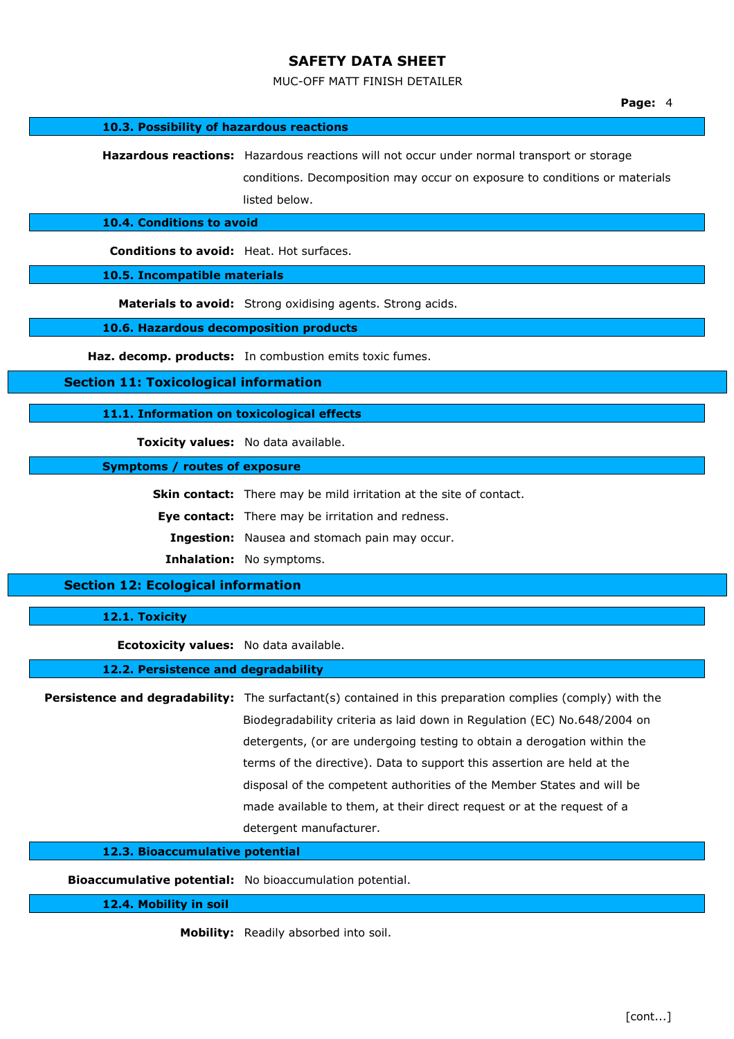#### MUC-OFF MATT FINISH DETAILER

**10.3. Possibility of hazardous reactions**

**Hazardous reactions:** Hazardous reactions will not occur under normal transport or storage

conditions. Decomposition may occur on exposure to conditions or materials listed below.

## **10.4. Conditions to avoid**

**Conditions to avoid:** Heat. Hot surfaces.

**10.5. Incompatible materials**

**Materials to avoid:** Strong oxidising agents. Strong acids.

**10.6. Hazardous decomposition products**

**Haz. decomp. products:** In combustion emits toxic fumes.

**Section 11: Toxicological information**

**11.1. Information on toxicological effects**

**Toxicity values:** No data available.

**Symptoms / routes of exposure**

**Skin contact:** There may be mild irritation at the site of contact.

**Eye contact:** There may be irritation and redness.

**Ingestion:** Nausea and stomach pain may occur.

**Inhalation:** No symptoms.

## **Section 12: Ecological information**

### **12.1. Toxicity**

**Ecotoxicity values:** No data available.

### **12.2. Persistence and degradability**

**Persistence and degradability:** The surfactant(s) contained in this preparation complies (comply) with the Biodegradability criteria as laid down in Regulation (EC) No.648/2004 on detergents, (or are undergoing testing to obtain a derogation within the terms of the directive). Data to support this assertion are held at the disposal of the competent authorities of the Member States and will be made available to them, at their direct request or at the request of a detergent manufacturer.

### **12.3. Bioaccumulative potential**

**Bioaccumulative potential:** No bioaccumulation potential.

**12.4. Mobility in soil**

**Mobility:** Readily absorbed into soil.